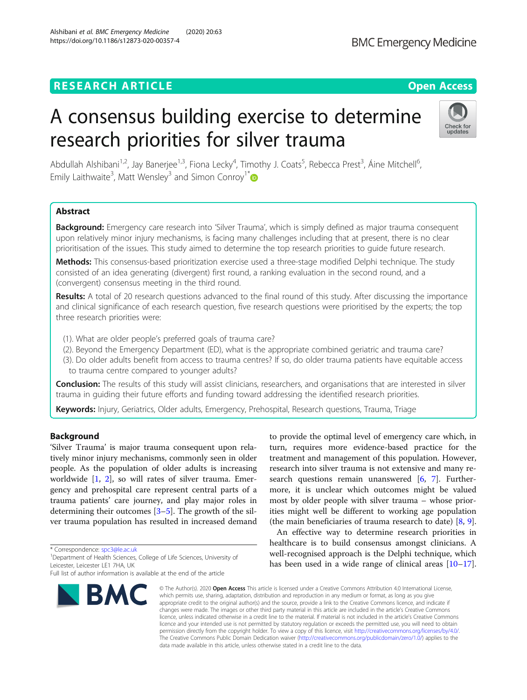# **RESEARCH ARTICLE Example 2014 12:30 The Contract of Contract ACCESS**

# A consensus building exercise to determine research priorities for silver trauma

Abdullah Alshibani<sup>1,2</sup>, Jay Banerjee<sup>1,3</sup>, Fiona Lecky<sup>4</sup>, Timothy J. Coats<sup>5</sup>, Rebecca Prest<sup>3</sup>, Áine Mitchell<sup>6</sup> , Emily Laithwaite<sup>3</sup>, Matt Wensley<sup>3</sup> and Simon Conroy<sup>1\*</sup>

# Abstract

Background: Emergency care research into 'Silver Trauma', which is simply defined as major trauma consequent upon relatively minor injury mechanisms, is facing many challenges including that at present, there is no clear prioritisation of the issues. This study aimed to determine the top research priorities to guide future research.

Methods: This consensus-based prioritization exercise used a three-stage modified Delphi technique. The study consisted of an idea generating (divergent) first round, a ranking evaluation in the second round, and a (convergent) consensus meeting in the third round.

Results: A total of 20 research questions advanced to the final round of this study. After discussing the importance and clinical significance of each research question, five research questions were prioritised by the experts; the top three research priorities were:

- (1). What are older people's preferred goals of trauma care?
- (2). Beyond the Emergency Department (ED), what is the appropriate combined geriatric and trauma care?
- (3). Do older adults benefit from access to trauma centres? If so, do older trauma patients have equitable access to trauma centre compared to younger adults?

Conclusion: The results of this study will assist clinicians, researchers, and organisations that are interested in silver trauma in guiding their future efforts and funding toward addressing the identified research priorities.

Keywords: Injury, Geriatrics, Older adults, Emergency, Prehospital, Research questions, Trauma, Triage

# Background

'Silver Trauma' is major trauma consequent upon relatively minor injury mechanisms, commonly seen in older people. As the population of older adults is increasing worldwide [[1,](#page-7-0) [2\]](#page-7-0), so will rates of silver trauma. Emergency and prehospital care represent central parts of a trauma patients' care journey, and play major roles in determining their outcomes [[3](#page-7-0)–[5](#page-7-0)]. The growth of the silver trauma population has resulted in increased demand

\* Correspondence: [spc3@le.ac.uk](mailto:spc3@le.ac.uk) <sup>1</sup>

<sup>1</sup> Department of Health Sciences, College of Life Sciences, University of Leicester, Leicester LE1 7HA, UK

# to provide the optimal level of emergency care which, in turn, requires more evidence-based practice for the treatment and management of this population. However, research into silver trauma is not extensive and many research questions remain unanswered  $[6, 7]$  $[6, 7]$  $[6, 7]$  $[6, 7]$ . Furthermore, it is unclear which outcomes might be valued most by older people with silver trauma – whose priorities might well be different to working age population (the main beneficiaries of trauma research to date) [\[8](#page-7-0), [9](#page-7-0)].

An effective way to determine research priorities in healthcare is to build consensus amongst clinicians. A well-recognised approach is the Delphi technique, which has been used in a wide range of clinical areas  $[10-17]$  $[10-17]$  $[10-17]$  $[10-17]$  $[10-17]$ .

© The Author(s), 2020 **Open Access** This article is licensed under a Creative Commons Attribution 4.0 International License, which permits use, sharing, adaptation, distribution and reproduction in any medium or format, as long as you give appropriate credit to the original author(s) and the source, provide a link to the Creative Commons licence, and indicate if changes were made. The images or other third party material in this article are included in the article's Creative Commons licence, unless indicated otherwise in a credit line to the material. If material is not included in the article's Creative Commons licence and your intended use is not permitted by statutory regulation or exceeds the permitted use, you will need to obtain permission directly from the copyright holder. To view a copy of this licence, visit [http://creativecommons.org/licenses/by/4.0/.](http://creativecommons.org/licenses/by/4.0/) The Creative Commons Public Domain Dedication waiver [\(http://creativecommons.org/publicdomain/zero/1.0/](http://creativecommons.org/publicdomain/zero/1.0/)) applies to the data made available in this article, unless otherwise stated in a credit line to the data.

Alshibani et al. BMC Emergency Medicine (2020) 20:63 https://doi.org/10.1186/s12873-020-00357-4





Full list of author information is available at the end of the article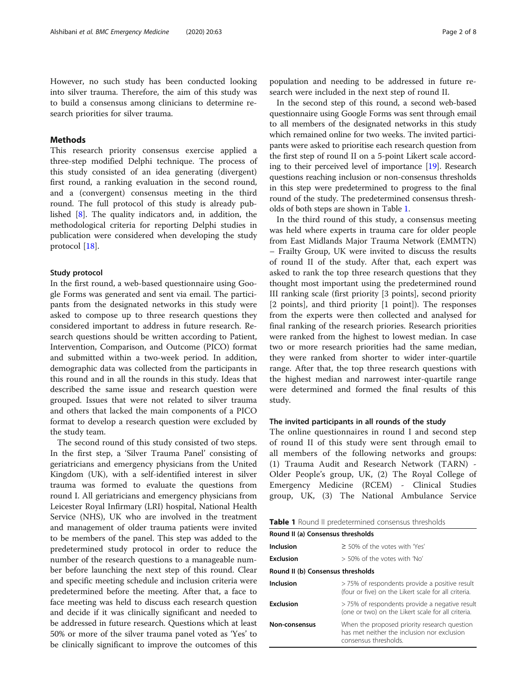However, no such study has been conducted looking into silver trauma. Therefore, the aim of this study was to build a consensus among clinicians to determine research priorities for silver trauma.

### Methods

This research priority consensus exercise applied a three-step modified Delphi technique. The process of this study consisted of an idea generating (divergent) first round, a ranking evaluation in the second round, and a (convergent) consensus meeting in the third round. The full protocol of this study is already published [\[8](#page-7-0)]. The quality indicators and, in addition, the methodological criteria for reporting Delphi studies in publication were considered when developing the study protocol [\[18\]](#page-7-0).

#### Study protocol

In the first round, a web-based questionnaire using Google Forms was generated and sent via email. The participants from the designated networks in this study were asked to compose up to three research questions they considered important to address in future research. Research questions should be written according to Patient, Intervention, Comparison, and Outcome (PICO) format and submitted within a two-week period. In addition, demographic data was collected from the participants in this round and in all the rounds in this study. Ideas that described the same issue and research question were grouped. Issues that were not related to silver trauma and others that lacked the main components of a PICO format to develop a research question were excluded by the study team.

The second round of this study consisted of two steps. In the first step, a 'Silver Trauma Panel' consisting of geriatricians and emergency physicians from the United Kingdom (UK), with a self-identified interest in silver trauma was formed to evaluate the questions from round I. All geriatricians and emergency physicians from Leicester Royal Infirmary (LRI) hospital, National Health Service (NHS), UK who are involved in the treatment and management of older trauma patients were invited to be members of the panel. This step was added to the predetermined study protocol in order to reduce the number of the research questions to a manageable number before launching the next step of this round. Clear and specific meeting schedule and inclusion criteria were predetermined before the meeting. After that, a face to face meeting was held to discuss each research question and decide if it was clinically significant and needed to be addressed in future research. Questions which at least 50% or more of the silver trauma panel voted as 'Yes' to be clinically significant to improve the outcomes of this

population and needing to be addressed in future research were included in the next step of round II.

In the second step of this round, a second web-based questionnaire using Google Forms was sent through email to all members of the designated networks in this study which remained online for two weeks. The invited participants were asked to prioritise each research question from the first step of round II on a 5-point Likert scale according to their perceived level of importance [\[19\]](#page-7-0). Research questions reaching inclusion or non-consensus thresholds in this step were predetermined to progress to the final round of the study. The predetermined consensus thresholds of both steps are shown in Table 1.

In the third round of this study, a consensus meeting was held where experts in trauma care for older people from East Midlands Major Trauma Network (EMMTN) – Frailty Group, UK were invited to discuss the results of round II of the study. After that, each expert was asked to rank the top three research questions that they thought most important using the predetermined round III ranking scale (first priority [3 points], second priority [2 points], and third priority [1 point]). The responses from the experts were then collected and analysed for final ranking of the research priories. Research priorities were ranked from the highest to lowest median. In case two or more research priorities had the same median, they were ranked from shorter to wider inter-quartile range. After that, the top three research questions with the highest median and narrowest inter-quartile range were determined and formed the final results of this study.

#### The invited participants in all rounds of the study

The online questionnaires in round I and second step of round II of this study were sent through email to all members of the following networks and groups: (1) Trauma Audit and Research Network (TARN) - Older People's group, UK, (2) The Royal College of Emergency Medicine (RCEM) - Clinical Studies group, UK, (3) The National Ambulance Service

| Round II (a) Consensus thresholds |                                                                                                                      |  |  |
|-----------------------------------|----------------------------------------------------------------------------------------------------------------------|--|--|
| Inclusion                         | $\geq$ 50% of the votes with 'Yes'                                                                                   |  |  |
| <b>Exclusion</b>                  | > 50% of the votes with 'No'                                                                                         |  |  |
| Round II (b) Consensus thresholds |                                                                                                                      |  |  |
| Inclusion                         | >75% of respondents provide a positive result<br>(four or five) on the Likert scale for all criteria.                |  |  |
| <b>Exclusion</b>                  | >75% of respondents provide a negative result<br>(one or two) on the Likert scale for all criteria.                  |  |  |
| Non-consensus                     | When the proposed priority research question<br>has met neither the inclusion nor exclusion<br>consensus thresholds. |  |  |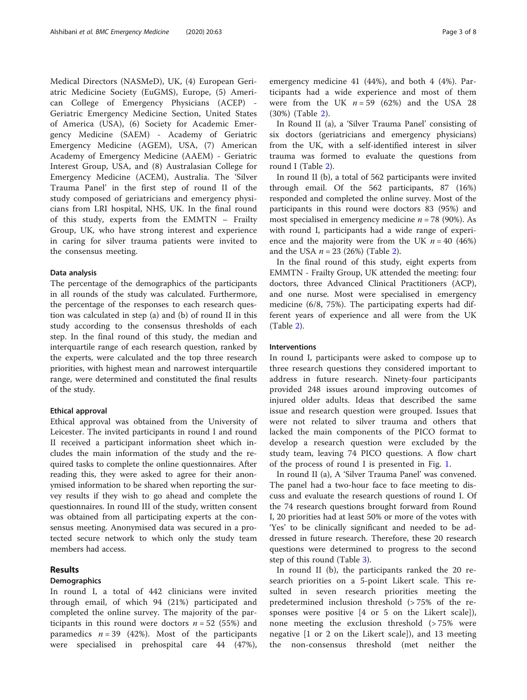Medical Directors (NASMeD), UK, (4) European Geriatric Medicine Society (EuGMS), Europe, (5) American College of Emergency Physicians (ACEP) - Geriatric Emergency Medicine Section, United States of America (USA), (6) Society for Academic Emergency Medicine (SAEM) - Academy of Geriatric Emergency Medicine (AGEM), USA, (7) American Academy of Emergency Medicine (AAEM) - Geriatric Interest Group, USA, and (8) Australasian College for Emergency Medicine (ACEM), Australia. The 'Silver Trauma Panel' in the first step of round II of the study composed of geriatricians and emergency physicians from LRI hospital, NHS, UK. In the final round of this study, experts from the EMMTN – Frailty Group, UK, who have strong interest and experience in caring for silver trauma patients were invited to the consensus meeting.

#### Data analysis

The percentage of the demographics of the participants in all rounds of the study was calculated. Furthermore, the percentage of the responses to each research question was calculated in step (a) and (b) of round II in this study according to the consensus thresholds of each step. In the final round of this study, the median and interquartile range of each research question, ranked by the experts, were calculated and the top three research priorities, with highest mean and narrowest interquartile range, were determined and constituted the final results of the study.

#### Ethical approval

Ethical approval was obtained from the University of Leicester. The invited participants in round I and round II received a participant information sheet which includes the main information of the study and the required tasks to complete the online questionnaires. After reading this, they were asked to agree for their anonymised information to be shared when reporting the survey results if they wish to go ahead and complete the questionnaires. In round III of the study, written consent was obtained from all participating experts at the consensus meeting. Anonymised data was secured in a protected secure network to which only the study team members had access.

## Results

#### **Demographics**

In round I, a total of 442 clinicians were invited through email, of which 94 (21%) participated and completed the online survey. The majority of the participants in this round were doctors  $n = 52$  (55%) and paramedics  $n = 39$  (42%). Most of the participants were specialised in prehospital care 44 (47%), emergency medicine 41 (44%), and both 4 (4%). Participants had a wide experience and most of them were from the UK  $n = 59$  (62%) and the USA 28 (30%) (Table [2\)](#page-3-0).

In Round II (a), a 'Silver Trauma Panel' consisting of six doctors (geriatricians and emergency physicians) from the UK, with a self-identified interest in silver trauma was formed to evaluate the questions from round I (Table [2\)](#page-3-0).

In round II (b), a total of 562 participants were invited through email. Of the 562 participants, 87 (16%) responded and completed the online survey. Most of the participants in this round were doctors 83 (95%) and most specialised in emergency medicine  $n = 78$  (90%). As with round I, participants had a wide range of experience and the majority were from the UK  $n = 40$  (46%) and the USA  $n = 23$  $n = 23$  $n = 23$  (26%) (Table 2).

In the final round of this study, eight experts from EMMTN - Frailty Group, UK attended the meeting: four doctors, three Advanced Clinical Practitioners (ACP), and one nurse. Most were specialised in emergency medicine (6/8, 75%). The participating experts had different years of experience and all were from the UK (Table [2\)](#page-3-0).

#### Interventions

In round I, participants were asked to compose up to three research questions they considered important to address in future research. Ninety-four participants provided 248 issues around improving outcomes of injured older adults. Ideas that described the same issue and research question were grouped. Issues that were not related to silver trauma and others that lacked the main components of the PICO format to develop a research question were excluded by the study team, leaving 74 PICO questions. A flow chart of the process of round I is presented in Fig. [1](#page-4-0).

In round II (a), A 'Silver Trauma Panel' was convened. The panel had a two-hour face to face meeting to discuss and evaluate the research questions of round I. Of the 74 research questions brought forward from Round I, 20 priorities had at least 50% or more of the votes with 'Yes' to be clinically significant and needed to be addressed in future research. Therefore, these 20 research questions were determined to progress to the second step of this round (Table [3\)](#page-5-0).

In round II (b), the participants ranked the 20 research priorities on a 5-point Likert scale. This resulted in seven research priorities meeting the predetermined inclusion threshold (> 75% of the responses were positive [4 or 5 on the Likert scale]), none meeting the exclusion threshold (> 75% were negative [1 or 2 on the Likert scale]), and 13 meeting the non-consensus threshold (met neither the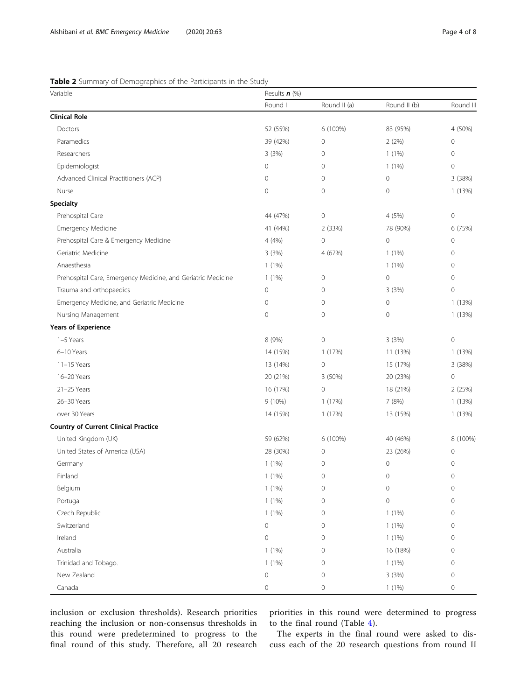# <span id="page-3-0"></span>Table 2 Summary of Demographics of the Participants in the Study

| Variable                                                     | Results $n$ (%) |                     |              |              |
|--------------------------------------------------------------|-----------------|---------------------|--------------|--------------|
|                                                              | Round I         | Round II (a)        | Round II (b) | Round III    |
| <b>Clinical Role</b>                                         |                 |                     |              |              |
| Doctors                                                      | 52 (55%)        | 6 (100%)            | 83 (95%)     | 4 (50%)      |
| Paramedics                                                   | 39 (42%)        | 0                   | 2(2%)        | 0            |
| Researchers                                                  | 3(3%)           | 0                   | $1(1\%)$     | 0            |
| Epidemiologist                                               | 0               | 0                   | 1(1%)        | $\mathbf 0$  |
| Advanced Clinical Practitioners (ACP)                        | 0               | $\mathsf{O}\xspace$ | $\mathbf 0$  | 3 (38%)      |
| Nurse                                                        | $\overline{0}$  | 0                   | $\mathbf 0$  | 1(13%)       |
| Specialty                                                    |                 |                     |              |              |
| Prehospital Care                                             | 44 (47%)        | $\mathsf{O}\xspace$ | 4 (5%)       | $\mathbf 0$  |
| Emergency Medicine                                           | 41 (44%)        | 2 (33%)             | 78 (90%)     | 6 (75%)      |
| Prehospital Care & Emergency Medicine                        | 4(4%)           | $\mathsf{O}\xspace$ | $\mathbf 0$  | 0            |
| Geriatric Medicine                                           | 3(3%)           | 4 (67%)             | 1(1%)        | 0            |
| Anaesthesia                                                  | $1(1\%)$        |                     | 1(1%)        | $\mathbf{0}$ |
| Prehospital Care, Emergency Medicine, and Geriatric Medicine | $1(1\%)$        | 0                   | $\mathbf 0$  | $\mathbf{0}$ |
| Trauma and orthopaedics                                      | 0               | $\mathbf 0$         | 3(3%)        | $\mathbf 0$  |
| Emergency Medicine, and Geriatric Medicine                   | 0               | 0                   | 0            | 1(13%)       |
| Nursing Management                                           | 0               | 0                   | $\mathbf 0$  | 1(13%)       |
| <b>Years of Experience</b>                                   |                 |                     |              |              |
| 1-5 Years                                                    | 8 (9%)          | $\mathsf{O}\xspace$ | 3(3%)        | $\mathbf 0$  |
| 6-10 Years                                                   | 14 (15%)        | 1(17%)              | 11 (13%)     | 1(13%)       |
| 11-15 Years                                                  | 13 (14%)        | $\mathbf 0$         | 15 (17%)     | 3 (38%)      |
| 16-20 Years                                                  | 20 (21%)        | 3 (50%)             | 20 (23%)     | $\mathbf 0$  |
| 21-25 Years                                                  | 16 (17%)        | $\mathsf{O}\xspace$ | 18 (21%)     | 2(25%)       |
| 26-30 Years                                                  | 9 (10%)         | 1 (17%)             | 7 (8%)       | 1(13%)       |
| over 30 Years                                                | 14 (15%)        | 1(17%)              | 13 (15%)     | 1(13%)       |
| <b>Country of Current Clinical Practice</b>                  |                 |                     |              |              |
| United Kingdom (UK)                                          | 59 (62%)        | 6 (100%)            | 40 (46%)     | 8 (100%)     |
| United States of America (USA)                               | 28 (30%)        | 0                   | 23 (26%)     | $\mathbf 0$  |
| Germany                                                      | $1(1\%)$        | 0                   | $\mathbf 0$  | 0            |
| Finland                                                      | 1(1%)           | $\mathbf 0$         | $\mathbf 0$  | 0            |
| Belgium                                                      | 1(1%)           | 0                   | 0            | 0            |
| Portugal                                                     | 1(1%)           | 0                   | $\mathbf 0$  | 0            |
| Czech Republic                                               | 1(1%)           | $\mathsf{O}\xspace$ | 1(1%)        | 0            |
| Switzerland                                                  | 0               | $\mathsf{O}\xspace$ | $1(1\%)$     | 0            |
| Ireland                                                      | 0               | 0                   | 1(1%)        | 0            |
| Australia                                                    | 1(1%)           | $\mathsf{O}\xspace$ | 16 (18%)     | 0            |
| Trinidad and Tobago.                                         | $1(1\%)$        | $\mathsf{O}\xspace$ | 1(1%)        | 0            |
| New Zealand                                                  | 0               | 0                   | 3(3%)        | 0            |
| Canada                                                       | 0               | $\mathsf{O}\xspace$ | 1(1%)        | 0            |

inclusion or exclusion thresholds). Research priorities reaching the inclusion or non-consensus thresholds in this round were predetermined to progress to the final round of this study. Therefore, all 20 research priorities in this round were determined to progress to the final round (Table [4](#page-6-0)).

The experts in the final round were asked to discuss each of the 20 research questions from round II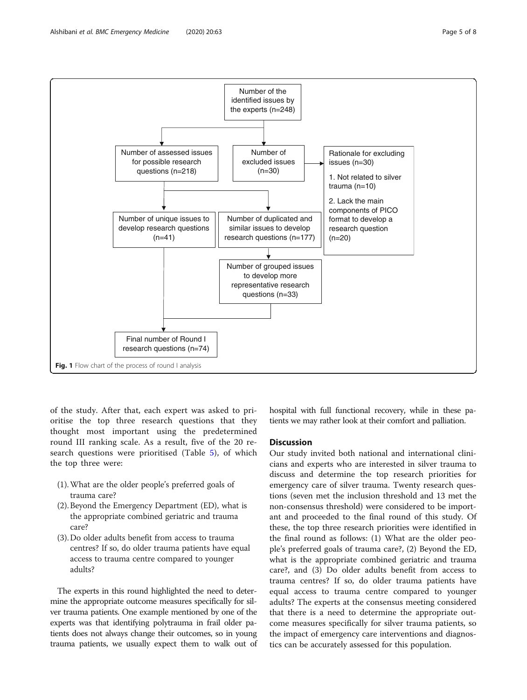<span id="page-4-0"></span>

of the study. After that, each expert was asked to prioritise the top three research questions that they thought most important using the predetermined round III ranking scale. As a result, five of the 20 research questions were prioritised (Table [5](#page-6-0)), of which the top three were:

- (1).What are the older people's preferred goals of trauma care?
- (2). Beyond the Emergency Department (ED), what is the appropriate combined geriatric and trauma care?
- (3). Do older adults benefit from access to trauma centres? If so, do older trauma patients have equal access to trauma centre compared to younger adults?

The experts in this round highlighted the need to determine the appropriate outcome measures specifically for silver trauma patients. One example mentioned by one of the experts was that identifying polytrauma in frail older patients does not always change their outcomes, so in young trauma patients, we usually expect them to walk out of hospital with full functional recovery, while in these patients we may rather look at their comfort and palliation.

#### **Discussion**

Our study invited both national and international clinicians and experts who are interested in silver trauma to discuss and determine the top research priorities for emergency care of silver trauma. Twenty research questions (seven met the inclusion threshold and 13 met the non-consensus threshold) were considered to be important and proceeded to the final round of this study. Of these, the top three research priorities were identified in the final round as follows: (1) What are the older people's preferred goals of trauma care?, (2) Beyond the ED, what is the appropriate combined geriatric and trauma care?, and (3) Do older adults benefit from access to trauma centres? If so, do older trauma patients have equal access to trauma centre compared to younger adults? The experts at the consensus meeting considered that there is a need to determine the appropriate outcome measures specifically for silver trauma patients, so the impact of emergency care interventions and diagnostics can be accurately assessed for this population.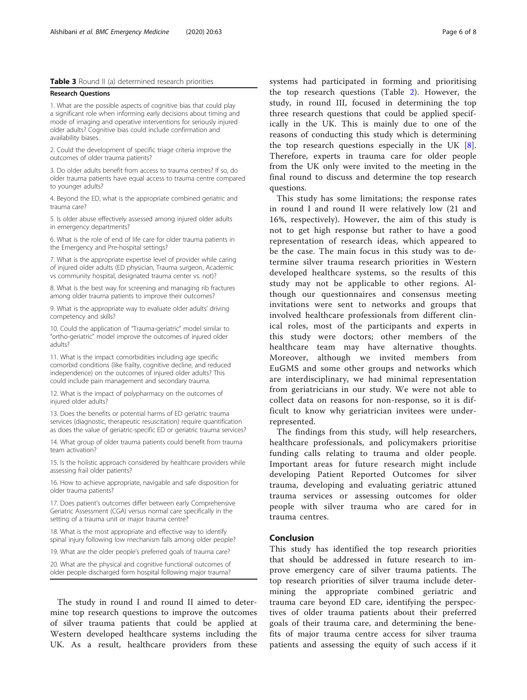#### <span id="page-5-0"></span>Table 3 Round II (a) determined research priorities

#### Research Questions

1. What are the possible aspects of cognitive bias that could play a significant role when informing early decisions about timing and mode of imaging and operative interventions for seriously injured older adults? Cognitive bias could include confirmation and availability biases.

2. Could the development of specific triage criteria improve the outcomes of older trauma patients?

3. Do older adults benefit from access to trauma centres? If so, do older trauma patients have equal access to trauma centre compared to younger adults?

4. Beyond the ED, what is the appropriate combined geriatric and trauma care?

5. Is older abuse effectively assessed among injured older adults in emergency departments?

6. What is the role of end of life care for older trauma patients in the Emergency and Pre-hospital settings?

7. What is the appropriate expertise level of provider while caring of injured older adults (ED physician, Trauma surgeon, Academic vs community hospital, designated trauma center vs. not)?

8. What is the best way for screening and managing rib fractures among older trauma patients to improve their outcomes?

9. What is the appropriate way to evaluate older adults' driving competency and skills?

10. Could the application of "Trauma-geriatric" model similar to "ortho-geriatric" model improve the outcomes of injured older adults?

11. What is the impact comorbidities including age specific comorbid conditions (like frailty, cognitive decline, and reduced independence) on the outcomes of injured older adults? This could include pain management and secondary trauma.

12. What is the impact of polypharmacy on the outcomes of injured older adults?

13. Does the benefits or potential harms of ED geriatric trauma services (diagnostic, therapeutic resuscitation) require quantification as does the value of geriatric-specific ED or geriatric trauma services?

14. What group of older trauma patients could benefit from trauma team activation?

15. Is the holistic approach considered by healthcare providers while assessing frail older patients?

16. How to achieve appropriate, navigable and safe disposition for older trauma patients?

17. Does patient's outcomes differ between early Comprehensive Geriatric Assessment (CGA) versus normal care specifically in the setting of a trauma unit or major trauma centre?

18. What is the most appropriate and effective way to identify spinal injury following low mechanism falls among older people?

19. What are the older people's preferred goals of trauma care?

20. What are the physical and cognitive functional outcomes of older people discharged form hospital following major trauma?

The study in round I and round II aimed to determine top research questions to improve the outcomes of silver trauma patients that could be applied at Western developed healthcare systems including the UK. As a result, healthcare providers from these

systems had participated in forming and prioritising the top research questions (Table [2](#page-3-0)). However, the study, in round III, focused in determining the top three research questions that could be applied specifically in the UK. This is mainly due to one of the reasons of conducting this study which is determining the top research questions especially in the UK [\[8](#page-7-0)]. Therefore, experts in trauma care for older people from the UK only were invited to the meeting in the final round to discuss and determine the top research questions.

This study has some limitations; the response rates in round I and round II were relatively low (21 and 16%, respectively). However, the aim of this study is not to get high response but rather to have a good representation of research ideas, which appeared to be the case. The main focus in this study was to determine silver trauma research priorities in Western developed healthcare systems, so the results of this study may not be applicable to other regions. Although our questionnaires and consensus meeting invitations were sent to networks and groups that involved healthcare professionals from different clinical roles, most of the participants and experts in this study were doctors; other members of the healthcare team may have alternative thoughts. Moreover, although we invited members from EuGMS and some other groups and networks which are interdisciplinary, we had minimal representation from geriatricians in our study. We were not able to collect data on reasons for non-response, so it is difficult to know why geriatrician invitees were underrepresented.

The findings from this study, will help researchers, healthcare professionals, and policymakers prioritise funding calls relating to trauma and older people. Important areas for future research might include developing Patient Reported Outcomes for silver trauma, developing and evaluating geriatric attuned trauma services or assessing outcomes for older people with silver trauma who are cared for in trauma centres.

#### Conclusion

This study has identified the top research priorities that should be addressed in future research to improve emergency care of silver trauma patients. The top research priorities of silver trauma include determining the appropriate combined geriatric and trauma care beyond ED care, identifying the perspectives of older trauma patients about their preferred goals of their trauma care, and determining the benefits of major trauma centre access for silver trauma patients and assessing the equity of such access if it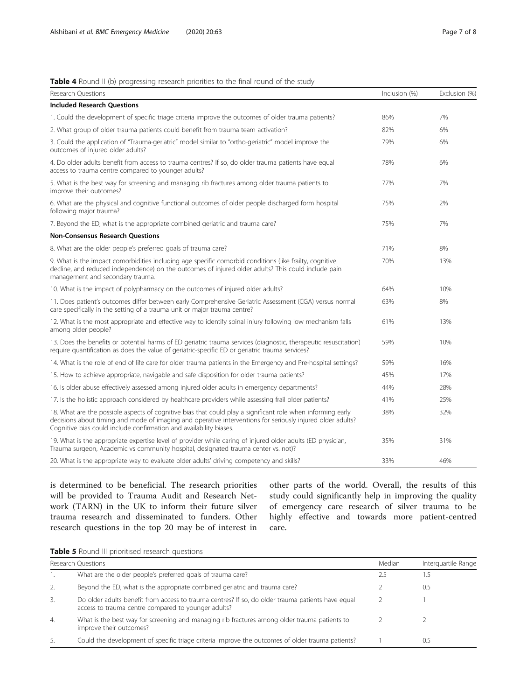# <span id="page-6-0"></span>Table 4 Round II (b) progressing research priorities to the final round of the study

| Research Questions                                                                                                                                                                                                                                                                              | Inclusion (%) | Exclusion (%) |
|-------------------------------------------------------------------------------------------------------------------------------------------------------------------------------------------------------------------------------------------------------------------------------------------------|---------------|---------------|
| <b>Included Research Ouestions</b>                                                                                                                                                                                                                                                              |               |               |
| 1. Could the development of specific triage criteria improve the outcomes of older trauma patients?                                                                                                                                                                                             | 86%           | 7%            |
| 2. What group of older trauma patients could benefit from trauma team activation?                                                                                                                                                                                                               | 82%           | 6%            |
| 3. Could the application of "Trauma-geriatric" model similar to "ortho-geriatric" model improve the<br>outcomes of injured older adults?                                                                                                                                                        | 79%           | 6%            |
| 4. Do older adults benefit from access to trauma centres? If so, do older trauma patients have equal<br>access to trauma centre compared to younger adults?                                                                                                                                     | 78%           | 6%            |
| 5. What is the best way for screening and managing rib fractures among older trauma patients to<br>improve their outcomes?                                                                                                                                                                      | 77%           | 7%            |
| 6. What are the physical and cognitive functional outcomes of older people discharged form hospital<br>following major trauma?                                                                                                                                                                  | 75%           | 2%            |
| 7. Beyond the ED, what is the appropriate combined geriatric and trauma care?                                                                                                                                                                                                                   | 75%           | 7%            |
| <b>Non-Consensus Research Ouestions</b>                                                                                                                                                                                                                                                         |               |               |
| 8. What are the older people's preferred goals of trauma care?                                                                                                                                                                                                                                  | 71%           | 8%            |
| 9. What is the impact comorbidities including age specific comorbid conditions (like frailty, cognitive<br>decline, and reduced independence) on the outcomes of injured older adults? This could include pain<br>management and secondary trauma.                                              | 70%           | 13%           |
| 10. What is the impact of polypharmacy on the outcomes of injured older adults?                                                                                                                                                                                                                 | 64%           | 10%           |
| 11. Does patient's outcomes differ between early Comprehensive Geriatric Assessment (CGA) versus normal<br>care specifically in the setting of a trauma unit or major trauma centre?                                                                                                            | 63%           | 8%            |
| 12. What is the most appropriate and effective way to identify spinal injury following low mechanism falls<br>among older people?                                                                                                                                                               | 61%           | 13%           |
| 13. Does the benefits or potential harms of ED geriatric trauma services (diagnostic, therapeutic resuscitation)<br>require quantification as does the value of geriatric-specific ED or geriatric trauma services?                                                                             | 59%           | 10%           |
| 14. What is the role of end of life care for older trauma patients in the Emergency and Pre-hospital settings?                                                                                                                                                                                  | 59%           | 16%           |
| 15. How to achieve appropriate, navigable and safe disposition for older trauma patients?                                                                                                                                                                                                       | 45%           | 17%           |
| 16. Is older abuse effectively assessed among injured older adults in emergency departments?                                                                                                                                                                                                    | 44%           | 28%           |
| 17. Is the holistic approach considered by healthcare providers while assessing frail older patients?                                                                                                                                                                                           | 41%           | 25%           |
| 18. What are the possible aspects of cognitive bias that could play a significant role when informing early<br>decisions about timing and mode of imaging and operative interventions for seriously injured older adults?<br>Cognitive bias could include confirmation and availability biases. | 38%           | 32%           |
| 19. What is the appropriate expertise level of provider while caring of injured older adults (ED physician,<br>Trauma surgeon, Academic vs community hospital, designated trauma center vs. not)?                                                                                               | 35%           | 31%           |
| 20. What is the appropriate way to evaluate older adults' driving competency and skills?                                                                                                                                                                                                        | 33%           | 46%           |

is determined to be beneficial. The research priorities will be provided to Trauma Audit and Research Network (TARN) in the UK to inform their future silver trauma research and disseminated to funders. Other research questions in the top 20 may be of interest in

other parts of the world. Overall, the results of this study could significantly help in improving the quality of emergency care research of silver trauma to be highly effective and towards more patient-centred care.

| Table 5 Round III prioritised research questions |  |  |  |  |
|--------------------------------------------------|--|--|--|--|
|--------------------------------------------------|--|--|--|--|

| Research Questions |                                                                                                                                                          | Median | Interguartile Range |
|--------------------|----------------------------------------------------------------------------------------------------------------------------------------------------------|--------|---------------------|
|                    | What are the older people's preferred goals of trauma care?                                                                                              | 25     | . 5                 |
| 2.                 | Beyond the ED, what is the appropriate combined geriatric and trauma care?                                                                               |        | 0.5                 |
| 3.                 | Do older adults benefit from access to trauma centres? If so, do older trauma patients have equal<br>access to trauma centre compared to younger adults? |        |                     |
| 4.                 | What is the best way for screening and managing rib fractures among older trauma patients to<br>improve their outcomes?                                  |        |                     |
| 5.                 | Could the development of specific triage criteria improve the outcomes of older trauma patients?                                                         |        | (1.5)               |